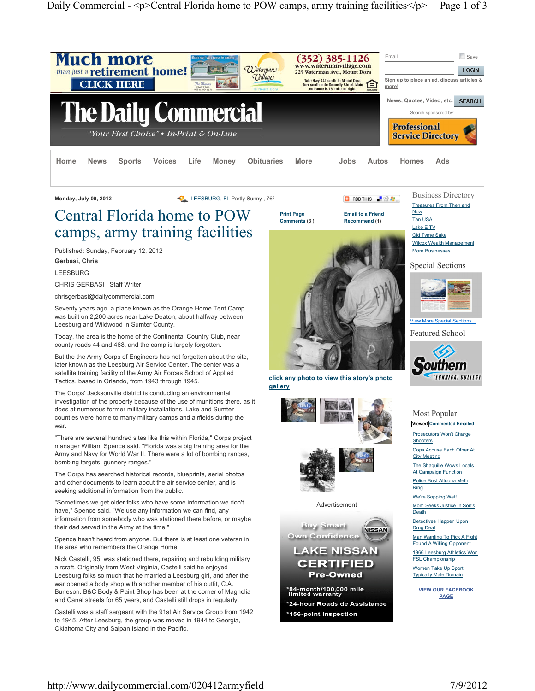

# Central Florida home to POW camps, army training facilities

Published: Sunday, February 12, 2012 Gerbasi, Chris

LEESBURG

CHRIS GERBASI | Staff Writer

chrisgerbasi@dailycommercial.com

Seventy years ago, a place known as the Orange Home Tent Camp was built on 2,200 acres near Lake Deaton, about halfway between Leesburg and Wildwood in Sumter County.

Today, the area is the home of the Continental Country Club, near county roads 44 and 468, and the camp is largely forgotten.

But the the Army Corps of Engineers has not forgotten about the site, later known as the Leesburg Air Service Center. The center was a satellite training facility of the Army Air Forces School of Applied Tactics, based in Orlando, from 1943 through 1945.

The Corps' Jacksonville district is conducting an environmental investigation of the property because of the use of munitions there, as it does at numerous former military installations. Lake and Sumter counties were home to many military camps and airfields during the war.

"There are several hundred sites like this within Florida," Corps project manager William Spence said. "Florida was a big training area for the Army and Navy for World War II. There were a lot of bombing ranges, bombing targets, gunnery ranges."

The Corps has searched historical records, blueprints, aerial photos and other documents to learn about the air service center, and is seeking additional information from the public.

"Sometimes we get older folks who have some information we don't have," Spence said. "We use any information we can find, any information from somebody who was stationed there before, or maybe their dad served in the Army at the time."

Spence hasn't heard from anyone. But there is at least one veteran in the area who remembers the Orange Home.

Nick Castelli, 95, was stationed there, repairing and rebuilding military aircraft. Originally from West Virginia, Castelli said he enjoyed Leesburg folks so much that he married a Leesburg girl, and after the war opened a body shop with another member of his outfit, C.A. Burleson. B&C Body & Paint Shop has been at the corner of Magnolia and Canal streets for 65 years, and Castelli still drops in regularly.

Castelli was a staff sergeant with the 91st Air Service Group from 1942 to 1945. After Leesburg, the group was moved in 1944 to Georgia, Oklahoma City and Saipan Island in the Pacific.

click any photo to view this story's photo

Advertisement

**LAKE NISSAN CERTIFIED Pre-Owned** 

**NISSAN** 

Buy Smark

**Own Confidence** 

\*84-month/100,000 mile<br>limited warranty \*24-hour Roadside Assistance

\*156-point inspection

gallery

Comments (3 ) Recommend (1)



Special Sections



W More Spec

Featured School



#### Most Popular

Viewed Commented Emailed

Prosecutors Won't Charge **Shooters** 

Cops Accuse Each Other At City Meeting

The Shaquille Wows Locals **At Campaign Function** 

Police Bust Altoona Meth Ring

We're Sopping Wet! Mom Seeks Justice In Son's **Death** 

Detectives Happen Upon Drug Deal

Man Wanting To Pick A Fight Found A Willing Opponent 1966 Leesburg Athletics Won FSL Championship Women Take Up Sport Typically Male Domain

VIEW OUR FACEBOOK PAGE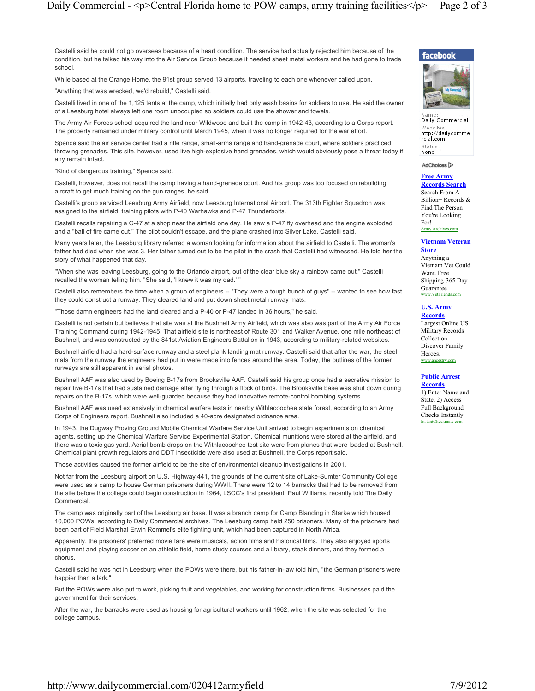Castelli said he could not go overseas because of a heart condition. The service had actually rejected him because of the condition, but he talked his way into the Air Service Group because it needed sheet metal workers and he had gone to trade school.

While based at the Orange Home, the 91st group served 13 airports, traveling to each one whenever called upon.

"Anything that was wrecked, we'd rebuild," Castelli said.

Castelli lived in one of the 1,125 tents at the camp, which initially had only wash basins for soldiers to use. He said the owner of a Leesburg hotel always left one room unoccupied so soldiers could use the shower and towels.

The Army Air Forces school acquired the land near Wildwood and built the camp in 1942-43, according to a Corps report. The property remained under military control until March 1945, when it was no longer required for the war effort.

Spence said the air service center had a rifle range, small-arms range and hand-grenade court, where soldiers practiced throwing grenades. This site, however, used live high-explosive hand grenades, which would obviously pose a threat today if any remain intact.

"Kind of dangerous training," Spence said.

Castelli, however, does not recall the camp having a hand-grenade court. And his group was too focused on rebuilding aircraft to get much training on the gun ranges, he said.

Castelli's group serviced Leesburg Army Airfield, now Leesburg International Airport. The 313th Fighter Squadron was assigned to the airfield, training pilots with P-40 Warhawks and P-47 Thunderbolts.

Castelli recalls repairing a C-47 at a shop near the airfield one day. He saw a P-47 fly overhead and the engine exploded and a "ball of fire came out." The pilot couldn't escape, and the plane crashed into Silver Lake, Castelli said.

Many years later, the Leesburg library referred a woman looking for information about the airfield to Castelli. The woman's father had died when she was 3. Her father turned out to be the pilot in the crash that Castelli had witnessed. He told her the story of what happened that day.

"When she was leaving Leesburg, going to the Orlando airport, out of the clear blue sky a rainbow came out," Castelli recalled the woman telling him. "She said, 'I knew it was my dad.' "

Castelli also remembers the time when a group of engineers -- "They were a tough bunch of guys'' -- wanted to see how fast they could construct a runway. They cleared land and put down sheet metal runway mats.

"Those damn engineers had the land cleared and a P-40 or P-47 landed in 36 hours," he said.

Castelli is not certain but believes that site was at the Bushnell Army Airfield, which was also was part of the Army Air Force Training Command during 1942-1945. That airfield site is northeast of Route 301 and Walker Avenue, one mile northeast of Bushnell, and was constructed by the 841st Aviation Engineers Battalion in 1943, according to military-related websites.

Bushnell airfield had a hard-surface runway and a steel plank landing mat runway. Castelli said that after the war, the steel mats from the runway the engineers had put in were made into fences around the area. Today, the outlines of the former runways are still apparent in aerial photos.

Bushnell AAF was also used by Boeing B-17s from Brooksville AAF. Castelli said his group once had a secretive mission to repair five B-17s that had sustained damage after flying through a flock of birds. The Brooksville base was shut down during repairs on the B-17s, which were well-guarded because they had innovative remote-control bombing systems.

Bushnell AAF was used extensively in chemical warfare tests in nearby Withlacoochee state forest, according to an Army Corps of Engineers report. Bushnell also included a 40-acre designated ordnance area.

In 1943, the Dugway Proving Ground Mobile Chemical Warfare Service Unit arrived to begin experiments on chemical agents, setting up the Chemical Warfare Service Experimental Station. Chemical munitions were stored at the airfield, and there was a toxic gas yard. Aerial bomb drops on the Withlacoochee test site were from planes that were loaded at Bushnell. Chemical plant growth regulators and DDT insecticide were also used at Bushnell, the Corps report said.

Those activities caused the former airfield to be the site of environmental cleanup investigations in 2001.

Not far from the Leesburg airport on U.S. Highway 441, the grounds of the current site of Lake-Sumter Community College were used as a camp to house German prisoners during WWII. There were 12 to 14 barracks that had to be removed from the site before the college could begin construction in 1964, LSCC's first president, Paul Williams, recently told The Daily **Commercial** 

The camp was originally part of the Leesburg air base. It was a branch camp for Camp Blanding in Starke which housed 10,000 POWs, according to Daily Commercial archives. The Leesburg camp held 250 prisoners. Many of the prisoners had been part of Field Marshal Erwin Rommel's elite fighting unit, which had been captured in North Africa.

Apparently, the prisoners' preferred movie fare were musicals, action films and historical films. They also enjoyed sports equipment and playing soccer on an athletic field, home study courses and a library, steak dinners, and they formed a chorus.

Castelli said he was not in Leesburg when the POWs were there, but his father-in-law told him, "the German prisoners were happier than a lark."

But the POWs were also put to work, picking fruit and vegetables, and working for construction firms. Businesses paid the government for their services.

After the war, the barracks were used as housing for agricultural workers until 1962, when the site was selected for the college campus.





Daily Commercial Websit http://dailycomme<br>rcial.com Status: None

#### AdChoices<sup>[2]</sup>

Free Army Records Search Search From A Billion+ Records & Find The Person

You're Looking For! . . .<br>nv Archives.com

#### Vietnam Veteran

**Store** Anything a Vietnam Vet Could Want. Free Shipping-365 Day Guarantee w VetFrien

# U.S. Army

**Records** Largest Online US Military Records Collection. Discover Family Heroes. www.ancestry.com

## Public Arrest

**Records** 1) Enter Name and State. 2) Access Full Background Checks Instantly. InstantCheckmate.com